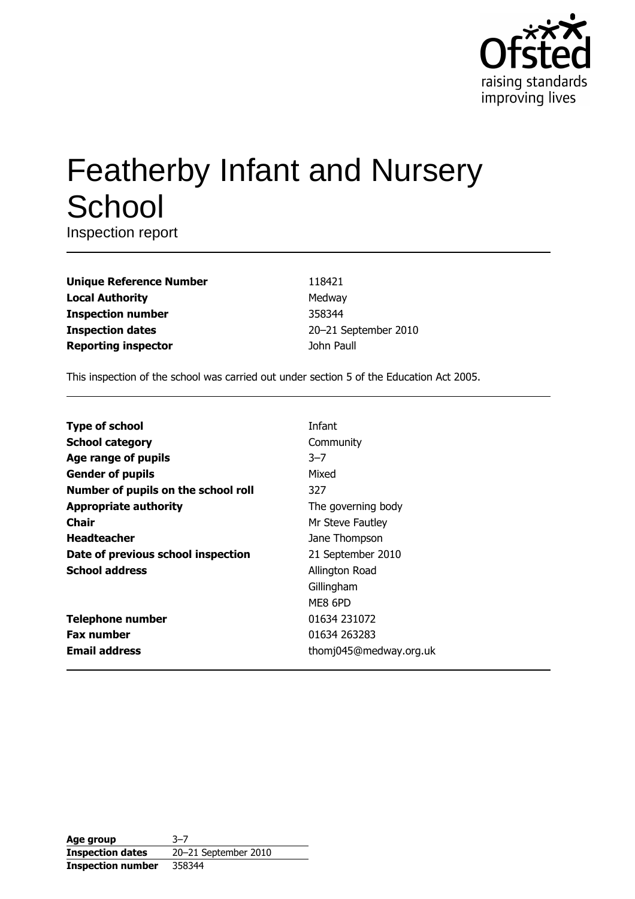

# **Featherby Infant and Nursery** School

Inspection report

**Unique Reference Number Local Authority Inspection number Inspection dates Reporting inspector** 

118421 Medway 358344 20-21 September 2010 John Paull

This inspection of the school was carried out under section 5 of the Education Act 2005.

| <b>Type of school</b>               | Infant                 |
|-------------------------------------|------------------------|
| <b>School category</b>              | Community              |
| Age range of pupils                 | $3 - 7$                |
| <b>Gender of pupils</b>             | Mixed                  |
| Number of pupils on the school roll | 327                    |
| <b>Appropriate authority</b>        | The governing body     |
| Chair                               | Mr Steve Fautley       |
| <b>Headteacher</b>                  | Jane Thompson          |
| Date of previous school inspection  | 21 September 2010      |
| <b>School address</b>               | Allington Road         |
|                                     | Gillingham             |
|                                     | ME8 6PD                |
| <b>Telephone number</b>             | 01634 231072           |
| <b>Fax number</b>                   | 01634 263283           |
| <b>Email address</b>                | thomj045@medway.org.uk |

| Age group                | $3 - 7$              |
|--------------------------|----------------------|
| <b>Inspection dates</b>  | 20-21 September 2010 |
| <b>Inspection number</b> | 358344               |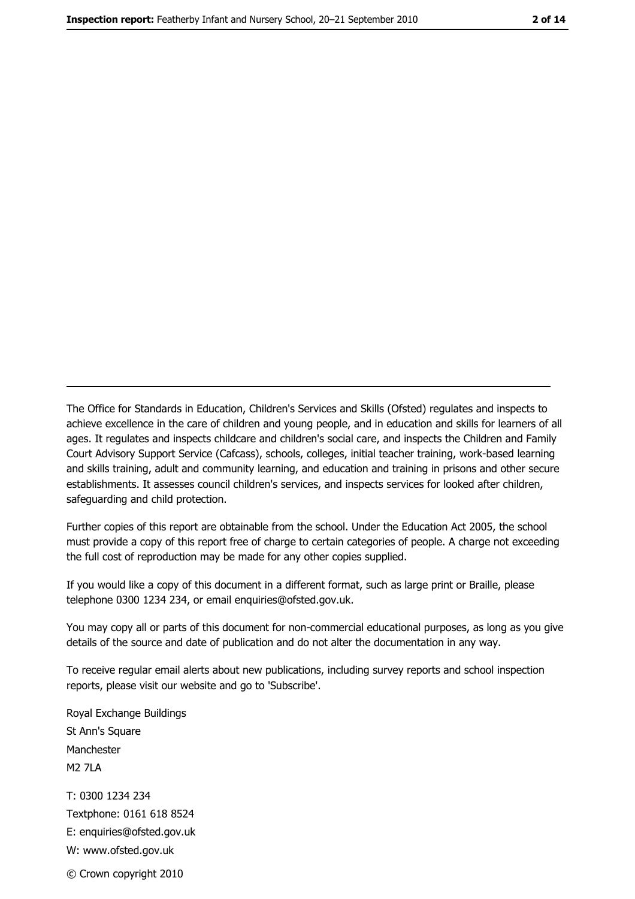The Office for Standards in Education, Children's Services and Skills (Ofsted) regulates and inspects to achieve excellence in the care of children and young people, and in education and skills for learners of all ages. It regulates and inspects childcare and children's social care, and inspects the Children and Family Court Advisory Support Service (Cafcass), schools, colleges, initial teacher training, work-based learning and skills training, adult and community learning, and education and training in prisons and other secure establishments. It assesses council children's services, and inspects services for looked after children, safeguarding and child protection.

Further copies of this report are obtainable from the school. Under the Education Act 2005, the school must provide a copy of this report free of charge to certain categories of people. A charge not exceeding the full cost of reproduction may be made for any other copies supplied.

If you would like a copy of this document in a different format, such as large print or Braille, please telephone 0300 1234 234, or email enquiries@ofsted.gov.uk.

You may copy all or parts of this document for non-commercial educational purposes, as long as you give details of the source and date of publication and do not alter the documentation in any way.

To receive regular email alerts about new publications, including survey reports and school inspection reports, please visit our website and go to 'Subscribe'.

Royal Exchange Buildings St Ann's Square Manchester **M2 7I A** T: 0300 1234 234 Textphone: 0161 618 8524 E: enquiries@ofsted.gov.uk W: www.ofsted.gov.uk © Crown copyright 2010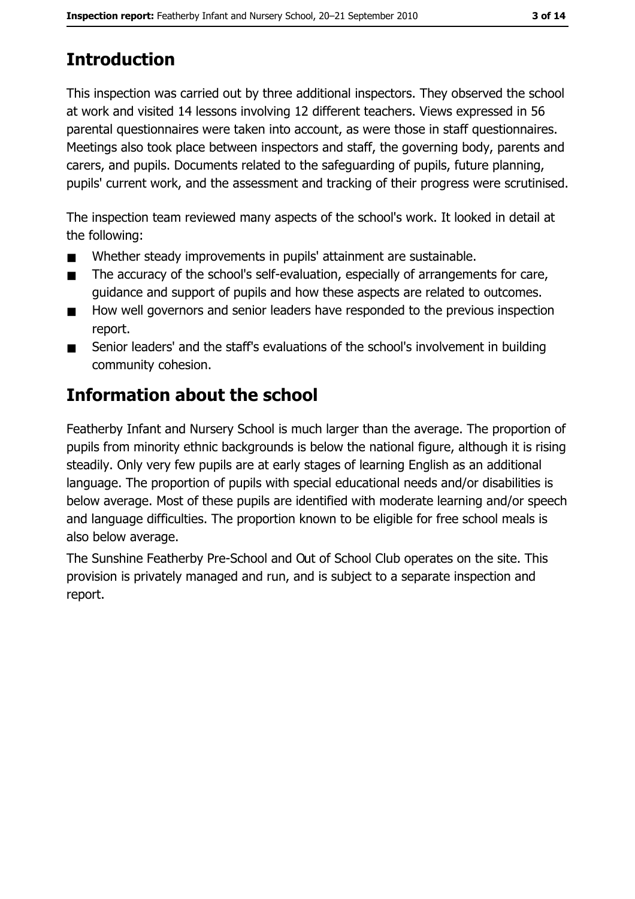# **Introduction**

This inspection was carried out by three additional inspectors. They observed the school at work and visited 14 lessons involving 12 different teachers. Views expressed in 56 parental questionnaires were taken into account, as were those in staff questionnaires. Meetings also took place between inspectors and staff, the governing body, parents and carers, and pupils. Documents related to the safeguarding of pupils, future planning, pupils' current work, and the assessment and tracking of their progress were scrutinised.

The inspection team reviewed many aspects of the school's work. It looked in detail at the following:

- $\blacksquare$ Whether steady improvements in pupils' attainment are sustainable.
- The accuracy of the school's self-evaluation, especially of arrangements for care,  $\blacksquare$ quidance and support of pupils and how these aspects are related to outcomes.
- How well governors and senior leaders have responded to the previous inspection  $\blacksquare$ report.
- Senior leaders' and the staff's evaluations of the school's involvement in building  $\blacksquare$ community cohesion.

# **Information about the school**

Featherby Infant and Nursery School is much larger than the average. The proportion of pupils from minority ethnic backgrounds is below the national figure, although it is rising steadily. Only very few pupils are at early stages of learning English as an additional language. The proportion of pupils with special educational needs and/or disabilities is below average. Most of these pupils are identified with moderate learning and/or speech and language difficulties. The proportion known to be eligible for free school meals is also below average.

The Sunshine Featherby Pre-School and Out of School Club operates on the site. This provision is privately managed and run, and is subject to a separate inspection and report.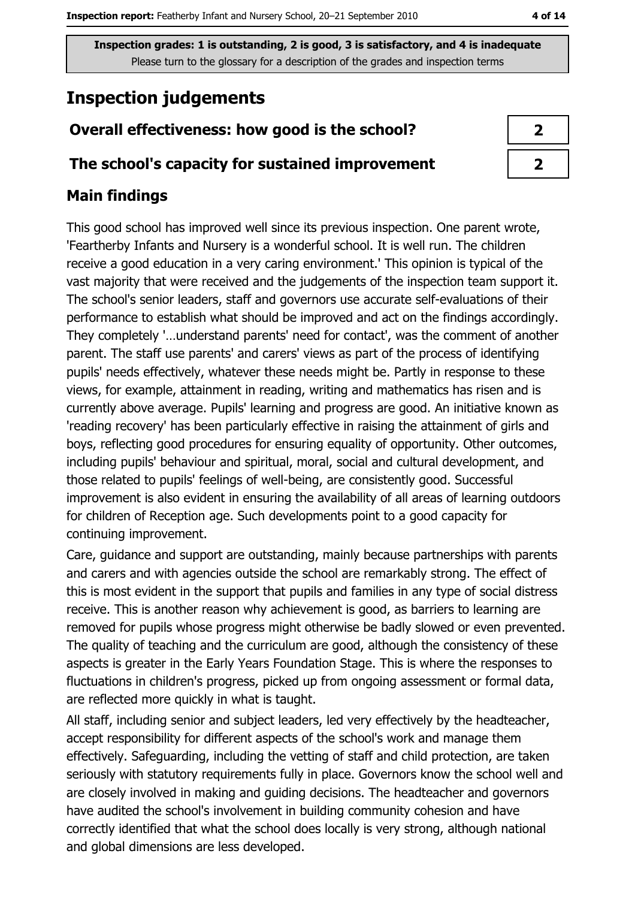# **Inspection judgements**

## Overall effectiveness: how good is the school?

#### The school's capacity for sustained improvement

#### **Main findings**

This good school has improved well since its previous inspection. One parent wrote, 'Feartherby Infants and Nursery is a wonderful school. It is well run. The children receive a good education in a very caring environment.' This opinion is typical of the vast majority that were received and the judgements of the inspection team support it. The school's senior leaders, staff and governors use accurate self-evaluations of their performance to establish what should be improved and act on the findings accordingly. They completely '...understand parents' need for contact', was the comment of another parent. The staff use parents' and carers' views as part of the process of identifying pupils' needs effectively, whatever these needs might be. Partly in response to these views, for example, attainment in reading, writing and mathematics has risen and is currently above average. Pupils' learning and progress are good. An initiative known as 'reading recovery' has been particularly effective in raising the attainment of girls and boys, reflecting good procedures for ensuring equality of opportunity. Other outcomes, including pupils' behaviour and spiritual, moral, social and cultural development, and those related to pupils' feelings of well-being, are consistently good. Successful improvement is also evident in ensuring the availability of all areas of learning outdoors for children of Reception age. Such developments point to a good capacity for continuing improvement.

Care, guidance and support are outstanding, mainly because partnerships with parents and carers and with agencies outside the school are remarkably strong. The effect of this is most evident in the support that pupils and families in any type of social distress receive. This is another reason why achievement is good, as barriers to learning are removed for pupils whose progress might otherwise be badly slowed or even prevented. The quality of teaching and the curriculum are good, although the consistency of these aspects is greater in the Early Years Foundation Stage. This is where the responses to fluctuations in children's progress, picked up from ongoing assessment or formal data, are reflected more quickly in what is taught.

All staff, including senior and subject leaders, led very effectively by the headteacher, accept responsibility for different aspects of the school's work and manage them effectively. Safeguarding, including the vetting of staff and child protection, are taken seriously with statutory requirements fully in place. Governors know the school well and are closely involved in making and quiding decisions. The headteacher and governors have audited the school's involvement in building community cohesion and have correctly identified that what the school does locally is very strong, although national and global dimensions are less developed.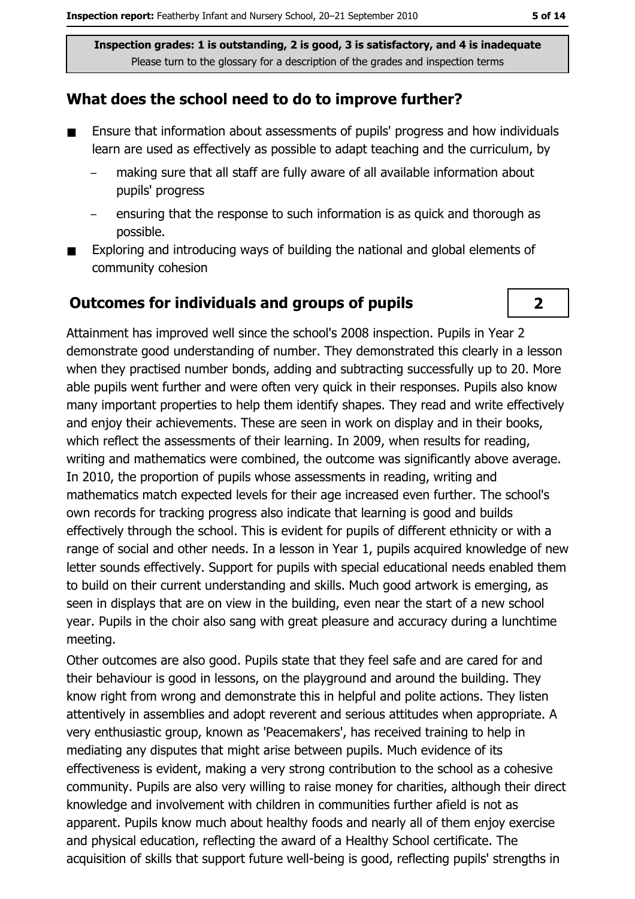#### What does the school need to do to improve further?

- Ensure that information about assessments of pupils' progress and how individuals  $\blacksquare$ learn are used as effectively as possible to adapt teaching and the curriculum, by
	- making sure that all staff are fully aware of all available information about pupils' progress
	- ensuring that the response to such information is as quick and thorough as possible.
- Exploring and introducing ways of building the national and global elements of  $\blacksquare$ community cohesion

#### **Outcomes for individuals and groups of pupils**

Attainment has improved well since the school's 2008 inspection. Pupils in Year 2 demonstrate good understanding of number. They demonstrated this clearly in a lesson when they practised number bonds, adding and subtracting successfully up to 20. More able pupils went further and were often very quick in their responses. Pupils also know many important properties to help them identify shapes. They read and write effectively and enjoy their achievements. These are seen in work on display and in their books, which reflect the assessments of their learning. In 2009, when results for reading, writing and mathematics were combined, the outcome was significantly above average. In 2010, the proportion of pupils whose assessments in reading, writing and mathematics match expected levels for their age increased even further. The school's own records for tracking progress also indicate that learning is good and builds effectively through the school. This is evident for pupils of different ethnicity or with a range of social and other needs. In a lesson in Year 1, pupils acquired knowledge of new letter sounds effectively. Support for pupils with special educational needs enabled them to build on their current understanding and skills. Much good artwork is emerging, as seen in displays that are on view in the building, even near the start of a new school year. Pupils in the choir also sang with great pleasure and accuracy during a lunchtime meeting.

Other outcomes are also good. Pupils state that they feel safe and are cared for and their behaviour is good in lessons, on the playground and around the building. They know right from wrong and demonstrate this in helpful and polite actions. They listen attentively in assemblies and adopt reverent and serious attitudes when appropriate. A very enthusiastic group, known as 'Peacemakers', has received training to help in mediating any disputes that might arise between pupils. Much evidence of its effectiveness is evident, making a very strong contribution to the school as a cohesive community. Pupils are also very willing to raise money for charities, although their direct knowledge and involvement with children in communities further afield is not as apparent. Pupils know much about healthy foods and nearly all of them enjoy exercise and physical education, reflecting the award of a Healthy School certificate. The acquisition of skills that support future well-being is good, reflecting pupils' strengths in

 $\overline{\mathbf{2}}$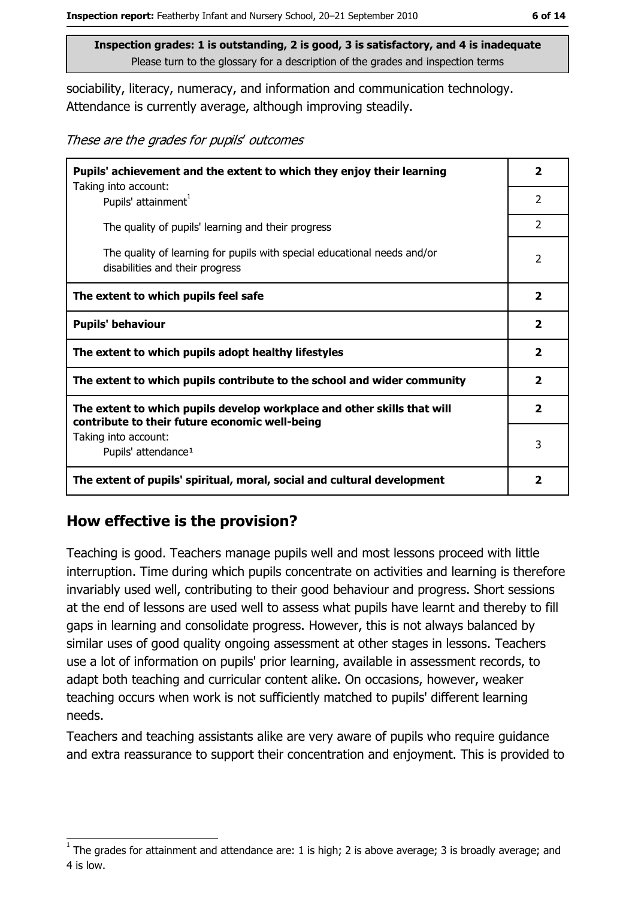sociability, literacy, numeracy, and information and communication technology. Attendance is currently average, although improving steadily.

These are the grades for pupils' outcomes

| Pupils' achievement and the extent to which they enjoy their learning                                                     |                         |  |
|---------------------------------------------------------------------------------------------------------------------------|-------------------------|--|
| Taking into account:<br>Pupils' attainment <sup>1</sup>                                                                   | 2                       |  |
| The quality of pupils' learning and their progress                                                                        | $\mathcal{P}$           |  |
| The quality of learning for pupils with special educational needs and/or<br>disabilities and their progress               | $\overline{2}$          |  |
| The extent to which pupils feel safe                                                                                      | 2                       |  |
| <b>Pupils' behaviour</b>                                                                                                  | $\mathbf{2}$            |  |
| The extent to which pupils adopt healthy lifestyles                                                                       | $\overline{\mathbf{2}}$ |  |
| The extent to which pupils contribute to the school and wider community                                                   |                         |  |
| The extent to which pupils develop workplace and other skills that will<br>contribute to their future economic well-being |                         |  |
| Taking into account:<br>Pupils' attendance <sup>1</sup>                                                                   | 3                       |  |
| The extent of pupils' spiritual, moral, social and cultural development                                                   | 2                       |  |

## How effective is the provision?

Teaching is good. Teachers manage pupils well and most lessons proceed with little interruption. Time during which pupils concentrate on activities and learning is therefore invariably used well, contributing to their good behaviour and progress. Short sessions at the end of lessons are used well to assess what pupils have learnt and thereby to fill gaps in learning and consolidate progress. However, this is not always balanced by similar uses of good quality ongoing assessment at other stages in lessons. Teachers use a lot of information on pupils' prior learning, available in assessment records, to adapt both teaching and curricular content alike. On occasions, however, weaker teaching occurs when work is not sufficiently matched to pupils' different learning needs.

Teachers and teaching assistants alike are very aware of pupils who require guidance and extra reassurance to support their concentration and enjoyment. This is provided to

The grades for attainment and attendance are: 1 is high; 2 is above average; 3 is broadly average; and 4 is low.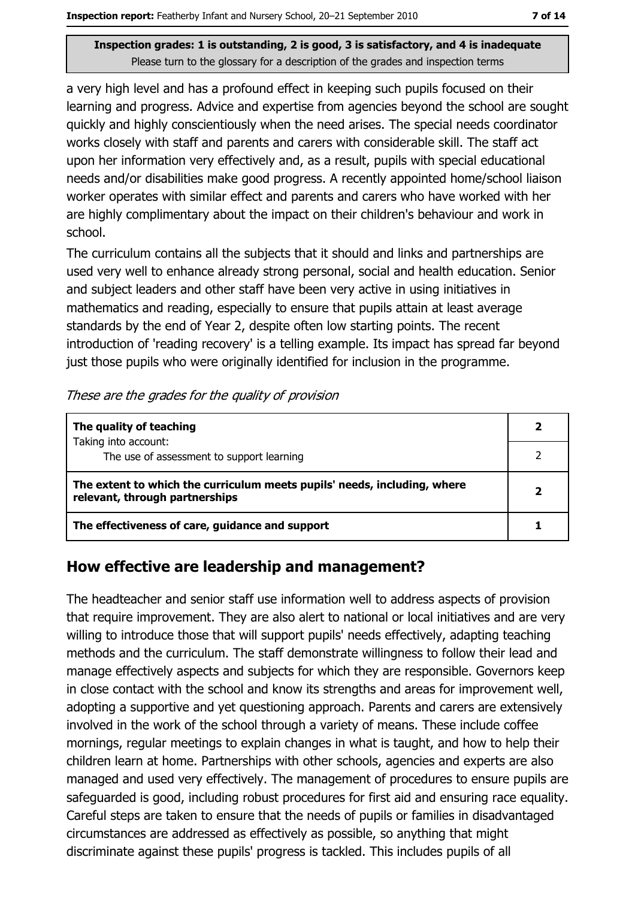a very high level and has a profound effect in keeping such pupils focused on their learning and progress. Advice and expertise from agencies beyond the school are sought quickly and highly conscientiously when the need arises. The special needs coordinator works closely with staff and parents and carers with considerable skill. The staff act upon her information very effectively and, as a result, pupils with special educational needs and/or disabilities make good progress. A recently appointed home/school liaison worker operates with similar effect and parents and carers who have worked with her are highly complimentary about the impact on their children's behaviour and work in school.

The curriculum contains all the subjects that it should and links and partnerships are used very well to enhance already strong personal, social and health education. Senior and subject leaders and other staff have been very active in using initiatives in mathematics and reading, especially to ensure that pupils attain at least average standards by the end of Year 2, despite often low starting points. The recent introduction of 'reading recovery' is a telling example. Its impact has spread far beyond just those pupils who were originally identified for inclusion in the programme.

| The quality of teaching                                                                                    |  |
|------------------------------------------------------------------------------------------------------------|--|
| Taking into account:<br>The use of assessment to support learning                                          |  |
| The extent to which the curriculum meets pupils' needs, including, where<br>relevant, through partnerships |  |
| The effectiveness of care, guidance and support                                                            |  |

## How effective are leadership and management?

The headteacher and senior staff use information well to address aspects of provision that require improvement. They are also alert to national or local initiatives and are very willing to introduce those that will support pupils' needs effectively, adapting teaching methods and the curriculum. The staff demonstrate willingness to follow their lead and manage effectively aspects and subjects for which they are responsible. Governors keep in close contact with the school and know its strengths and areas for improvement well, adopting a supportive and yet questioning approach. Parents and carers are extensively involved in the work of the school through a variety of means. These include coffee mornings, regular meetings to explain changes in what is taught, and how to help their children learn at home. Partnerships with other schools, agencies and experts are also managed and used very effectively. The management of procedures to ensure pupils are safeguarded is good, including robust procedures for first aid and ensuring race equality. Careful steps are taken to ensure that the needs of pupils or families in disadvantaged circumstances are addressed as effectively as possible, so anything that might discriminate against these pupils' progress is tackled. This includes pupils of all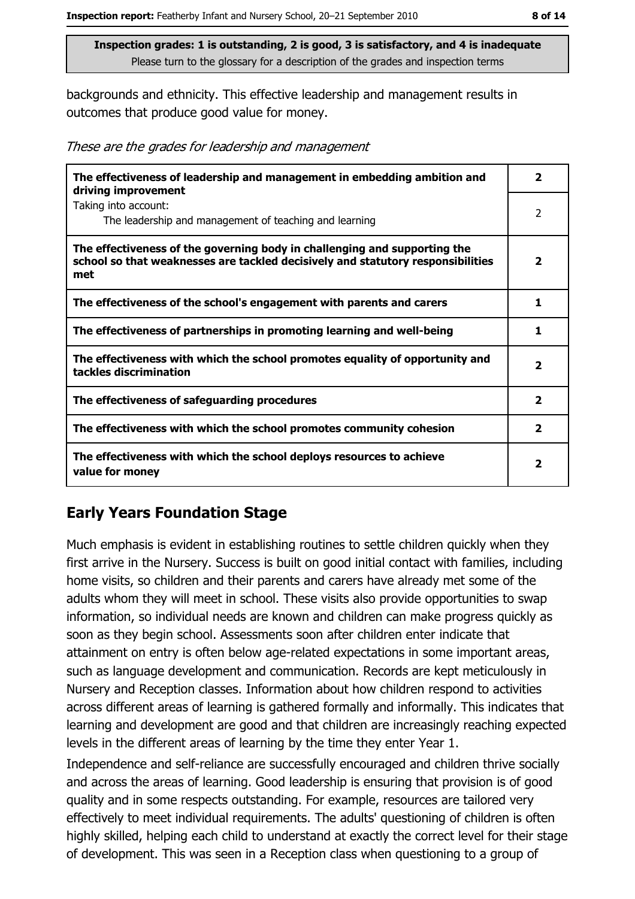backgrounds and ethnicity. This effective leadership and management results in outcomes that produce good value for money.

|  |  | These are the grades for leadership and management |
|--|--|----------------------------------------------------|
|  |  |                                                    |

| The effectiveness of leadership and management in embedding ambition and<br>driving improvement                                                                     | $\overline{\mathbf{2}}$ |
|---------------------------------------------------------------------------------------------------------------------------------------------------------------------|-------------------------|
| Taking into account:<br>The leadership and management of teaching and learning                                                                                      | 2                       |
| The effectiveness of the governing body in challenging and supporting the<br>school so that weaknesses are tackled decisively and statutory responsibilities<br>met | 2                       |
| The effectiveness of the school's engagement with parents and carers                                                                                                | 1                       |
| The effectiveness of partnerships in promoting learning and well-being                                                                                              | 1                       |
| The effectiveness with which the school promotes equality of opportunity and<br>tackles discrimination                                                              | $\overline{\mathbf{2}}$ |
| The effectiveness of safeguarding procedures                                                                                                                        | $\overline{\mathbf{2}}$ |
| The effectiveness with which the school promotes community cohesion                                                                                                 | 2                       |
| The effectiveness with which the school deploys resources to achieve<br>value for money                                                                             | $\overline{\mathbf{2}}$ |

## **Early Years Foundation Stage**

Much emphasis is evident in establishing routines to settle children quickly when they first arrive in the Nursery. Success is built on good initial contact with families, including home visits, so children and their parents and carers have already met some of the adults whom they will meet in school. These visits also provide opportunities to swap information, so individual needs are known and children can make progress quickly as soon as they begin school. Assessments soon after children enter indicate that attainment on entry is often below age-related expectations in some important areas, such as language development and communication. Records are kept meticulously in Nursery and Reception classes. Information about how children respond to activities across different areas of learning is gathered formally and informally. This indicates that learning and development are good and that children are increasingly reaching expected levels in the different areas of learning by the time they enter Year 1.

Independence and self-reliance are successfully encouraged and children thrive socially and across the areas of learning. Good leadership is ensuring that provision is of good quality and in some respects outstanding. For example, resources are tailored very effectively to meet individual requirements. The adults' questioning of children is often highly skilled, helping each child to understand at exactly the correct level for their stage of development. This was seen in a Reception class when questioning to a group of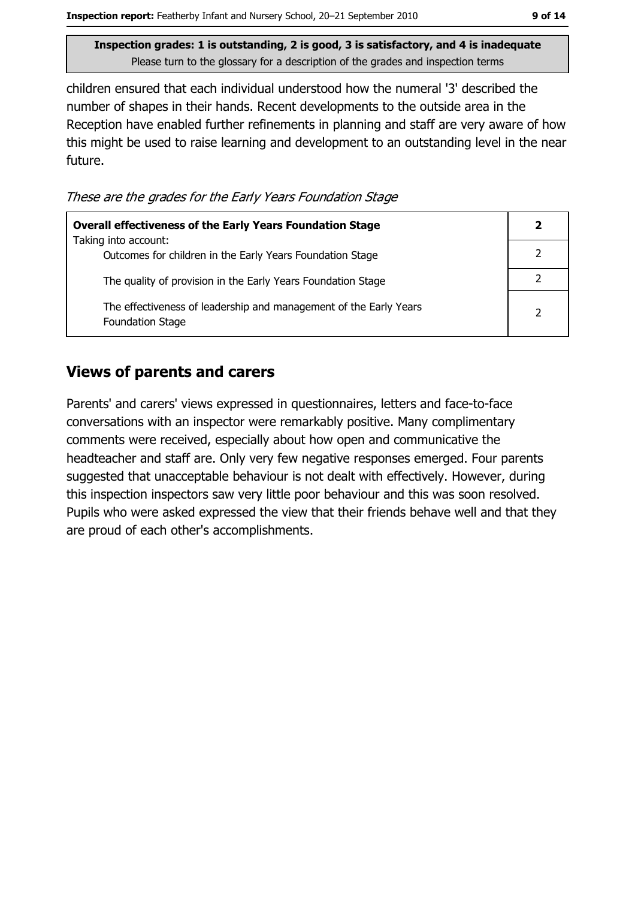children ensured that each individual understood how the numeral '3' described the number of shapes in their hands. Recent developments to the outside area in the Reception have enabled further refinements in planning and staff are very aware of how this might be used to raise learning and development to an outstanding level in the near future.

These are the grades for the Early Years Foundation Stage

| <b>Overall effectiveness of the Early Years Foundation Stage</b>                             | 2 |
|----------------------------------------------------------------------------------------------|---|
| Taking into account:<br>Outcomes for children in the Early Years Foundation Stage            |   |
| The quality of provision in the Early Years Foundation Stage                                 |   |
| The effectiveness of leadership and management of the Early Years<br><b>Foundation Stage</b> | 2 |

## **Views of parents and carers**

Parents' and carers' views expressed in questionnaires, letters and face-to-face conversations with an inspector were remarkably positive. Many complimentary comments were received, especially about how open and communicative the headteacher and staff are. Only very few negative responses emerged. Four parents suggested that unacceptable behaviour is not dealt with effectively. However, during this inspection inspectors saw very little poor behaviour and this was soon resolved. Pupils who were asked expressed the view that their friends behave well and that they are proud of each other's accomplishments.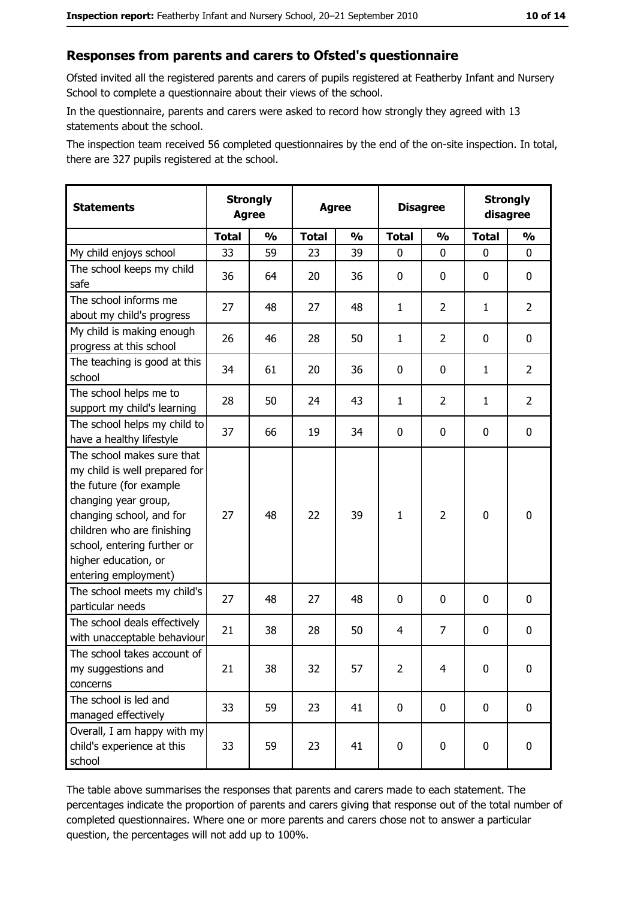#### Responses from parents and carers to Ofsted's questionnaire

Ofsted invited all the registered parents and carers of pupils registered at Featherby Infant and Nursery School to complete a questionnaire about their views of the school.

In the questionnaire, parents and carers were asked to record how strongly they agreed with 13 statements about the school.

The inspection team received 56 completed questionnaires by the end of the on-site inspection. In total, there are 327 pupils registered at the school.

| <b>Statements</b>                                                                                                                                                                                                                                       | <b>Strongly</b><br><b>Agree</b> |               | <b>Disagree</b><br><b>Agree</b> |               |                |                | <b>Strongly</b><br>disagree |                |
|---------------------------------------------------------------------------------------------------------------------------------------------------------------------------------------------------------------------------------------------------------|---------------------------------|---------------|---------------------------------|---------------|----------------|----------------|-----------------------------|----------------|
|                                                                                                                                                                                                                                                         | <b>Total</b>                    | $\frac{1}{2}$ | <b>Total</b>                    | $\frac{0}{0}$ | <b>Total</b>   | $\frac{0}{0}$  | <b>Total</b>                | $\frac{1}{2}$  |
| My child enjoys school                                                                                                                                                                                                                                  | 33                              | 59            | 23                              | 39            | 0              | 0              | $\Omega$                    | 0              |
| The school keeps my child<br>safe                                                                                                                                                                                                                       | 36                              | 64            | 20                              | 36            | 0              | 0              | 0                           | $\mathbf 0$    |
| The school informs me<br>about my child's progress                                                                                                                                                                                                      | 27                              | 48            | 27                              | 48            | $\mathbf{1}$   | $\overline{2}$ | 1                           | $\overline{2}$ |
| My child is making enough<br>progress at this school                                                                                                                                                                                                    | 26                              | 46            | 28                              | 50            | $\mathbf{1}$   | $\overline{2}$ | 0                           | 0              |
| The teaching is good at this<br>school                                                                                                                                                                                                                  | 34                              | 61            | 20                              | 36            | 0              | 0              | $\mathbf{1}$                | $\overline{2}$ |
| The school helps me to<br>support my child's learning                                                                                                                                                                                                   | 28                              | 50            | 24                              | 43            | $\mathbf{1}$   | $\overline{2}$ | 1                           | $\overline{2}$ |
| The school helps my child to<br>have a healthy lifestyle                                                                                                                                                                                                | 37                              | 66            | 19                              | 34            | $\mathbf 0$    | 0              | 0                           | $\mathbf 0$    |
| The school makes sure that<br>my child is well prepared for<br>the future (for example<br>changing year group,<br>changing school, and for<br>children who are finishing<br>school, entering further or<br>higher education, or<br>entering employment) | 27                              | 48            | 22                              | 39            | $\mathbf{1}$   | 2              | $\mathbf 0$                 | $\mathbf 0$    |
| The school meets my child's<br>particular needs                                                                                                                                                                                                         | 27                              | 48            | 27                              | 48            | 0              | 0              | 0                           | 0              |
| The school deals effectively<br>with unacceptable behaviour                                                                                                                                                                                             | 21                              | 38            | 28                              | 50            | 4              | $\overline{7}$ | 0                           | $\mathbf 0$    |
| The school takes account of<br>my suggestions and<br>concerns                                                                                                                                                                                           | 21                              | 38            | 32                              | 57            | $\overline{2}$ | 4              | 0                           | 0              |
| The school is led and<br>managed effectively                                                                                                                                                                                                            | 33                              | 59            | 23                              | 41            | 0              | 0              | $\mathbf 0$                 | $\mathbf 0$    |
| Overall, I am happy with my<br>child's experience at this<br>school                                                                                                                                                                                     | 33                              | 59            | 23                              | 41            | $\mathbf 0$    | 0              | $\mathbf 0$                 | $\mathbf 0$    |

The table above summarises the responses that parents and carers made to each statement. The percentages indicate the proportion of parents and carers giving that response out of the total number of completed questionnaires. Where one or more parents and carers chose not to answer a particular question, the percentages will not add up to 100%.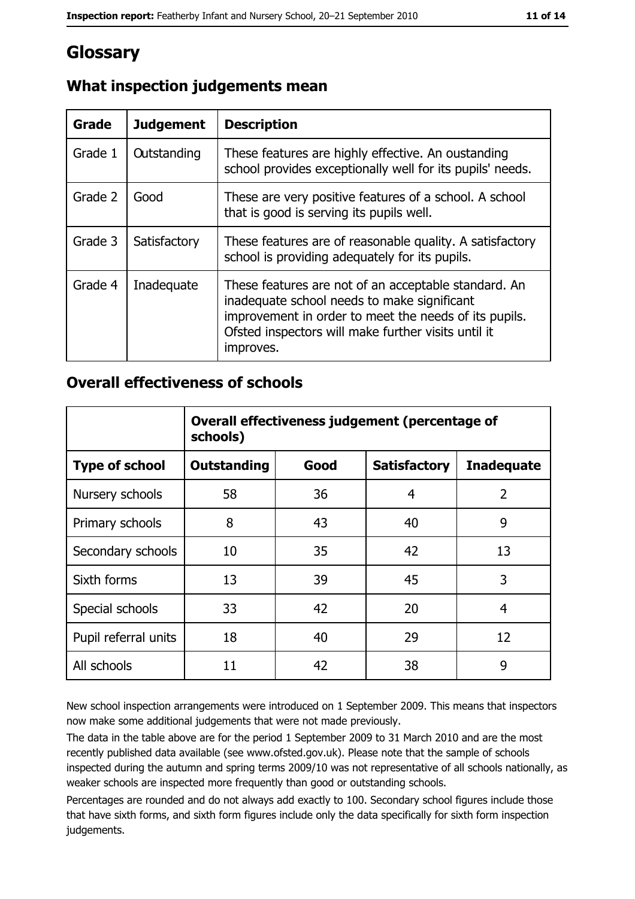# Glossary

| <b>Grade</b> | <b>Judgement</b> | <b>Description</b>                                                                                                                                                                                                               |
|--------------|------------------|----------------------------------------------------------------------------------------------------------------------------------------------------------------------------------------------------------------------------------|
| Grade 1      | Outstanding      | These features are highly effective. An oustanding<br>school provides exceptionally well for its pupils' needs.                                                                                                                  |
| Grade 2      | Good             | These are very positive features of a school. A school<br>that is good is serving its pupils well.                                                                                                                               |
| Grade 3      | Satisfactory     | These features are of reasonable quality. A satisfactory<br>school is providing adequately for its pupils.                                                                                                                       |
| Grade 4      | Inadequate       | These features are not of an acceptable standard. An<br>inadequate school needs to make significant<br>improvement in order to meet the needs of its pupils.<br>Ofsted inspectors will make further visits until it<br>improves. |

## What inspection judgements mean

#### **Overall effectiveness of schools**

|                       | Overall effectiveness judgement (percentage of<br>schools) |      |                     |                   |
|-----------------------|------------------------------------------------------------|------|---------------------|-------------------|
| <b>Type of school</b> | <b>Outstanding</b>                                         | Good | <b>Satisfactory</b> | <b>Inadequate</b> |
| Nursery schools       | 58                                                         | 36   | 4                   | $\overline{2}$    |
| Primary schools       | 8                                                          | 43   | 40                  | 9                 |
| Secondary schools     | 10                                                         | 35   | 42                  | 13                |
| Sixth forms           | 13                                                         | 39   | 45                  | 3                 |
| Special schools       | 33                                                         | 42   | 20                  | 4                 |
| Pupil referral units  | 18                                                         | 40   | 29                  | 12                |
| All schools           | 11                                                         | 42   | 38                  | 9                 |

New school inspection arrangements were introduced on 1 September 2009. This means that inspectors now make some additional judgements that were not made previously.

The data in the table above are for the period 1 September 2009 to 31 March 2010 and are the most recently published data available (see www.ofsted.gov.uk). Please note that the sample of schools inspected during the autumn and spring terms 2009/10 was not representative of all schools nationally, as weaker schools are inspected more frequently than good or outstanding schools.

Percentages are rounded and do not always add exactly to 100. Secondary school figures include those that have sixth forms, and sixth form figures include only the data specifically for sixth form inspection judgements.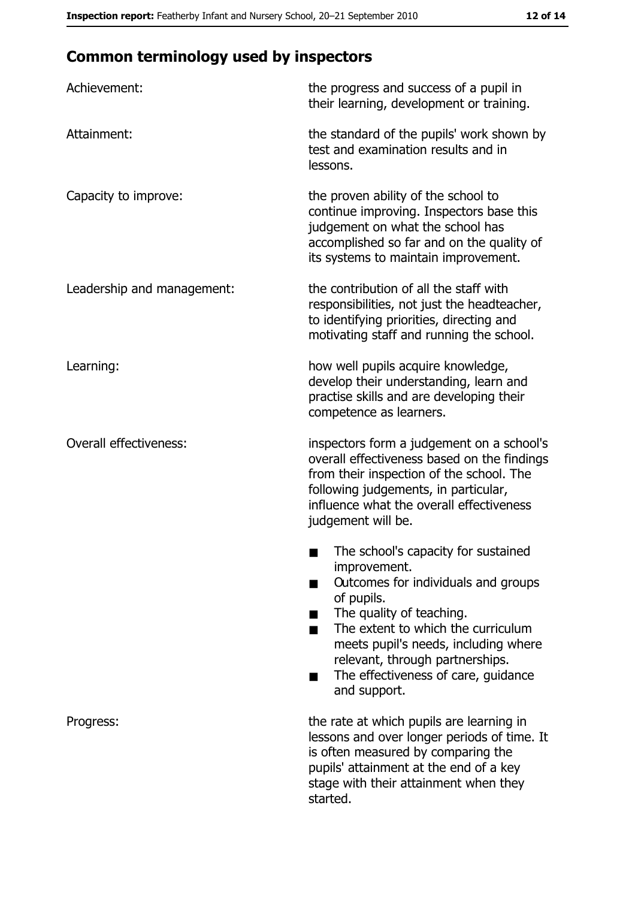# **Common terminology used by inspectors**

| Achievement:                  | the progress and success of a pupil in<br>their learning, development or training.                                                                                                                                                                                                                           |
|-------------------------------|--------------------------------------------------------------------------------------------------------------------------------------------------------------------------------------------------------------------------------------------------------------------------------------------------------------|
| Attainment:                   | the standard of the pupils' work shown by<br>test and examination results and in<br>lessons.                                                                                                                                                                                                                 |
| Capacity to improve:          | the proven ability of the school to<br>continue improving. Inspectors base this<br>judgement on what the school has<br>accomplished so far and on the quality of<br>its systems to maintain improvement.                                                                                                     |
| Leadership and management:    | the contribution of all the staff with<br>responsibilities, not just the headteacher,<br>to identifying priorities, directing and<br>motivating staff and running the school.                                                                                                                                |
| Learning:                     | how well pupils acquire knowledge,<br>develop their understanding, learn and<br>practise skills and are developing their<br>competence as learners.                                                                                                                                                          |
| <b>Overall effectiveness:</b> | inspectors form a judgement on a school's<br>overall effectiveness based on the findings<br>from their inspection of the school. The<br>following judgements, in particular,<br>influence what the overall effectiveness<br>judgement will be.                                                               |
|                               | The school's capacity for sustained<br>improvement.<br>Outcomes for individuals and groups<br>of pupils.<br>The quality of teaching.<br>The extent to which the curriculum<br>meets pupil's needs, including where<br>relevant, through partnerships.<br>The effectiveness of care, guidance<br>and support. |
| Progress:                     | the rate at which pupils are learning in<br>lessons and over longer periods of time. It<br>is often measured by comparing the<br>pupils' attainment at the end of a key<br>stage with their attainment when they<br>started.                                                                                 |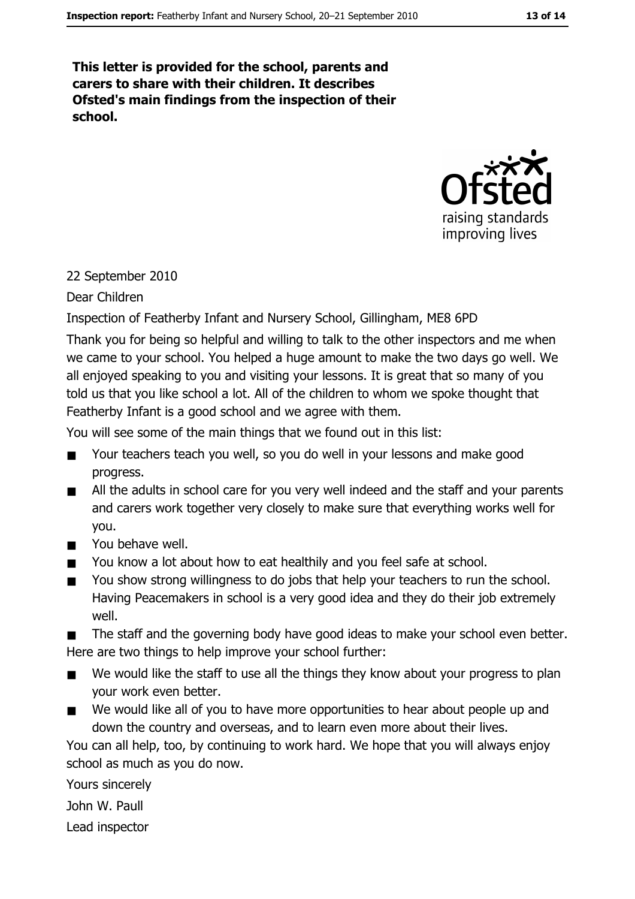This letter is provided for the school, parents and carers to share with their children. It describes Ofsted's main findings from the inspection of their school.



#### 22 September 2010

Dear Children

Inspection of Featherby Infant and Nursery School, Gillingham, ME8 6PD

Thank you for being so helpful and willing to talk to the other inspectors and me when we came to your school. You helped a huge amount to make the two days go well. We all enjoyed speaking to you and visiting your lessons. It is great that so many of you told us that you like school a lot. All of the children to whom we spoke thought that Featherby Infant is a good school and we agree with them.

You will see some of the main things that we found out in this list:

- Your teachers teach you well, so you do well in your lessons and make good  $\blacksquare$ progress.
- All the adults in school care for you very well indeed and the staff and your parents  $\blacksquare$ and carers work together very closely to make sure that everything works well for you.
- You behave well.  $\blacksquare$
- You know a lot about how to eat healthily and you feel safe at school.
- You show strong willingness to do jobs that help your teachers to run the school.  $\blacksquare$ Having Peacemakers in school is a very good idea and they do their job extremely well.

The staff and the governing body have good ideas to make your school even better.  $\blacksquare$ Here are two things to help improve your school further:

- We would like the staff to use all the things they know about your progress to plan  $\blacksquare$ vour work even better.
- We would like all of you to have more opportunities to hear about people up and down the country and overseas, and to learn even more about their lives.

You can all help, too, by continuing to work hard. We hope that you will always enjoy school as much as you do now.

Yours sincerely

John W. Paull

Lead inspector